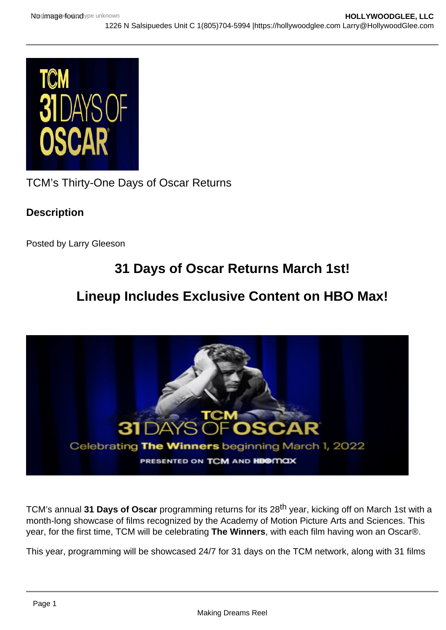TCM's Thirty-One Days of Oscar Returns

**Description** 

Posted by Larry Gleeson

## 31 Days of Oscar Returns March 1st!

## Lineup Includes Exclusive Content on HBO Max!

TCM's annual 31 Days of Oscar programming returns for its 28<sup>th</sup> year, kicking off on March 1st with a month-long showcase of films recognized by the Academy of Motion Picture Arts and Sciences. This year, for the first time, TCM will be celebrating The Winners , with each film having won an Oscar®.

This year, programming will be showcased 24/7 for 31 days on the TCM network, along with 31 films